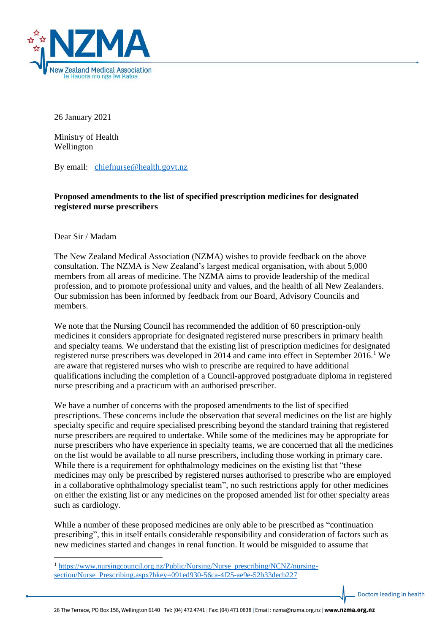

26 January 2021

Ministry of Health Wellington

By email: [chiefnurse@health.govt.nz](mailto:chiefnurse@health.govt.nz)

## **Proposed amendments to the list of specified prescription medicines for designated registered nurse prescribers**

Dear Sir / Madam

The New Zealand Medical Association (NZMA) wishes to provide feedback on the above consultation. The NZMA is New Zealand's largest medical organisation, with about 5,000 members from all areas of medicine. The NZMA aims to provide leadership of the medical profession, and to promote professional unity and values, and the health of all New Zealanders. Our submission has been informed by feedback from our Board, Advisory Councils and members.

We note that the Nursing Council has recommended the addition of 60 prescription-only medicines it considers appropriate for designated registered nurse prescribers in primary health and specialty teams. We understand that the existing list of prescription medicines for designated registered nurse prescribers was developed in 2014 and came into effect in September 2016.<sup>1</sup> We are aware that registered nurses who wish to prescribe are required to have additional qualifications including the completion of a Council-approved postgraduate diploma in registered nurse prescribing and a practicum with an authorised prescriber.

We have a number of concerns with the proposed amendments to the list of specified prescriptions. These concerns include the observation that several medicines on the list are highly specialty specific and require specialised prescribing beyond the standard training that registered nurse prescribers are required to undertake. While some of the medicines may be appropriate for nurse prescribers who have experience in specialty teams, we are concerned that all the medicines on the list would be available to all nurse prescribers, including those working in primary care. While there is a requirement for ophthalmology medicines on the existing list that "these" medicines may only be prescribed by registered nurses authorised to prescribe who are employed in a collaborative ophthalmology specialist team", no such restrictions apply for other medicines on either the existing list or any medicines on the proposed amended list for other specialty areas such as cardiology.

While a number of these proposed medicines are only able to be prescribed as "continuation prescribing", this in itself entails considerable responsibility and consideration of factors such as new medicines started and changes in renal function. It would be misguided to assume that

Doctors leading in health

<sup>&</sup>lt;sup>1</sup> [https://www.nursingcouncil.org.nz/Public/Nursing/Nurse\\_prescribing/NCNZ/nursing](https://www.nursingcouncil.org.nz/Public/Nursing/Nurse_prescribing/NCNZ/nursing-section/Nurse_Prescribing.aspx?hkey=091ed930-56ca-4f25-ae9e-52b33decb227)[section/Nurse\\_Prescribing.aspx?hkey=091ed930-56ca-4f25-ae9e-52b33decb227](https://www.nursingcouncil.org.nz/Public/Nursing/Nurse_prescribing/NCNZ/nursing-section/Nurse_Prescribing.aspx?hkey=091ed930-56ca-4f25-ae9e-52b33decb227)